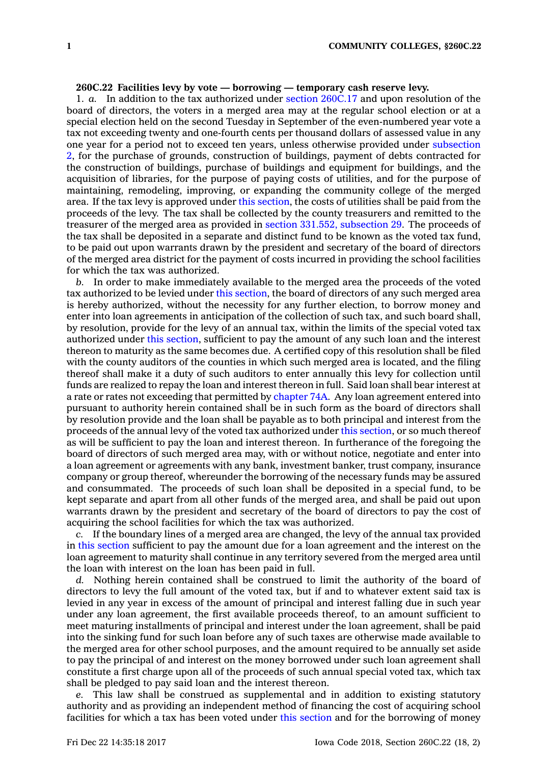## **260C.22 Facilities levy by vote — borrowing — temporary cash reserve levy.**

1. *a.* In addition to the tax authorized under section [260C.17](https://www.legis.iowa.gov/docs/code/260C.17.pdf) and upon resolution of the board of directors, the voters in <sup>a</sup> merged area may at the regular school election or at <sup>a</sup> special election held on the second Tuesday in September of the even-numbered year vote <sup>a</sup> tax not exceeding twenty and one-fourth cents per thousand dollars of assessed value in any one year for <sup>a</sup> period not to exceed ten years, unless otherwise provided under [subsection](https://www.legis.iowa.gov/docs/code/260C.22.pdf) [2](https://www.legis.iowa.gov/docs/code/260C.22.pdf), for the purchase of grounds, construction of buildings, payment of debts contracted for the construction of buildings, purchase of buildings and equipment for buildings, and the acquisition of libraries, for the purpose of paying costs of utilities, and for the purpose of maintaining, remodeling, improving, or expanding the community college of the merged area. If the tax levy is approved under this [section](https://www.legis.iowa.gov/docs/code/260C.22.pdf), the costs of utilities shall be paid from the proceeds of the levy. The tax shall be collected by the county treasurers and remitted to the treasurer of the merged area as provided in section 331.552, [subsection](https://www.legis.iowa.gov/docs/code/331.552.pdf) 29. The proceeds of the tax shall be deposited in <sup>a</sup> separate and distinct fund to be known as the voted tax fund, to be paid out upon warrants drawn by the president and secretary of the board of directors of the merged area district for the payment of costs incurred in providing the school facilities for which the tax was authorized.

*b.* In order to make immediately available to the merged area the proceeds of the voted tax authorized to be levied under this [section](https://www.legis.iowa.gov/docs/code/260C.22.pdf), the board of directors of any such merged area is hereby authorized, without the necessity for any further election, to borrow money and enter into loan agreements in anticipation of the collection of such tax, and such board shall, by resolution, provide for the levy of an annual tax, within the limits of the special voted tax authorized under this [section](https://www.legis.iowa.gov/docs/code/260C.22.pdf), sufficient to pay the amount of any such loan and the interest thereon to maturity as the same becomes due. A certified copy of this resolution shall be filed with the county auditors of the counties in which such merged area is located, and the filing thereof shall make it <sup>a</sup> duty of such auditors to enter annually this levy for collection until funds are realized to repay the loan and interest thereon in full. Said loan shall bear interest at <sup>a</sup> rate or rates not exceeding that permitted by [chapter](https://www.legis.iowa.gov/docs/code//74A.pdf) 74A. Any loan agreement entered into pursuant to authority herein contained shall be in such form as the board of directors shall by resolution provide and the loan shall be payable as to both principal and interest from the proceeds of the annual levy of the voted tax authorized under this [section](https://www.legis.iowa.gov/docs/code/260C.22.pdf), or so much thereof as will be sufficient to pay the loan and interest thereon. In furtherance of the foregoing the board of directors of such merged area may, with or without notice, negotiate and enter into <sup>a</sup> loan agreement or agreements with any bank, investment banker, trust company, insurance company or group thereof, whereunder the borrowing of the necessary funds may be assured and consummated. The proceeds of such loan shall be deposited in <sup>a</sup> special fund, to be kept separate and apart from all other funds of the merged area, and shall be paid out upon warrants drawn by the president and secretary of the board of directors to pay the cost of acquiring the school facilities for which the tax was authorized.

*c.* If the boundary lines of <sup>a</sup> merged area are changed, the levy of the annual tax provided in this [section](https://www.legis.iowa.gov/docs/code/260C.22.pdf) sufficient to pay the amount due for <sup>a</sup> loan agreement and the interest on the loan agreement to maturity shall continue in any territory severed from the merged area until the loan with interest on the loan has been paid in full.

*d.* Nothing herein contained shall be construed to limit the authority of the board of directors to levy the full amount of the voted tax, but if and to whatever extent said tax is levied in any year in excess of the amount of principal and interest falling due in such year under any loan agreement, the first available proceeds thereof, to an amount sufficient to meet maturing installments of principal and interest under the loan agreement, shall be paid into the sinking fund for such loan before any of such taxes are otherwise made available to the merged area for other school purposes, and the amount required to be annually set aside to pay the principal of and interest on the money borrowed under such loan agreement shall constitute <sup>a</sup> first charge upon all of the proceeds of such annual special voted tax, which tax shall be pledged to pay said loan and the interest thereon.

*e.* This law shall be construed as supplemental and in addition to existing statutory authority and as providing an independent method of financing the cost of acquiring school facilities for which <sup>a</sup> tax has been voted under this [section](https://www.legis.iowa.gov/docs/code/260C.22.pdf) and for the borrowing of money